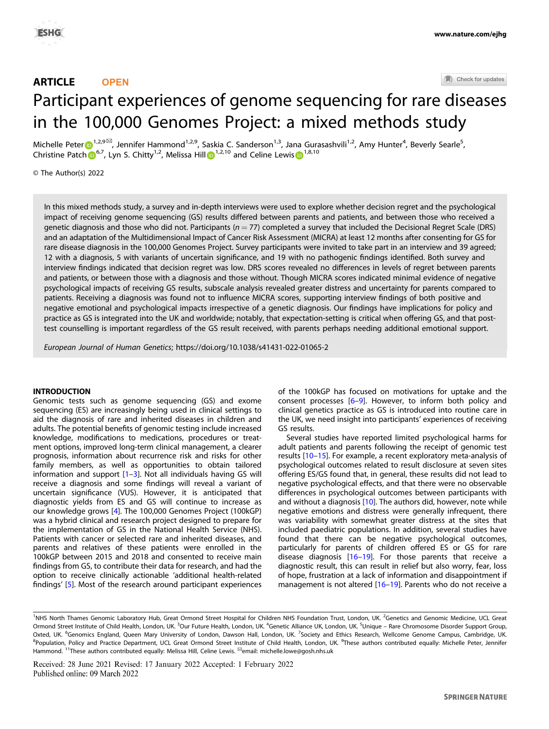# ARTICLE **OPEN**

Check for updates

# Participant experiences of genome sequencing for rar[e](http://crossmark.crossref.org/dialog/?doi=10.1038/s41431-022-01065-2&domain=pdf) diseases in the 100,000 Genomes Project: a mixed methods study

Michelle Peter $\bigoplus^{1,2,9\boxtimes}$  $\bigoplus^{1,2,9\boxtimes}$  $\bigoplus^{1,2,9\boxtimes}$ , Jennifer Hammond<sup>1,2,9</sup>, Saskia C. Sanderson<sup>1,3</sup>, Jana Gurasashvili<sup>1,2</sup>, Amy Hunter<sup>4</sup>, Beverly Searle<sup>5</sup>, C[h](http://orcid.org/0000-0002-4191-0663)ri[s](http://orcid.org/0000-0001-7169-1521)tine Patch  $\mathbb{D}^{6,7}$  $\mathbb{D}^{6,7}$  $\mathbb{D}^{6,7}$ , Lyn S. Chitty<sup>1,2</sup>, Me[l](http://orcid.org/0000-0003-3900-1425)issa Hill  $\mathbb{D}^{1,2,10}$  $\mathbb{D}^{1,2,10}$  $\mathbb{D}^{1,2,10}$  and Celine Lewis  $\mathbb{D}^{1,8,10}$ 

© The Author(s) 2022

In this mixed methods study, a survey and in-depth interviews were used to explore whether decision regret and the psychological impact of receiving genome sequencing (GS) results differed between parents and patients, and between those who received a genetic diagnosis and those who did not. Participants ( $n = 77$ ) completed a survey that included the Decisional Regret Scale (DRS) and an adaptation of the Multidimensional Impact of Cancer Risk Assessment (MICRA) at least 12 months after consenting for GS for rare disease diagnosis in the 100,000 Genomes Project. Survey participants were invited to take part in an interview and 39 agreed; 12 with a diagnosis, 5 with variants of uncertain significance, and 19 with no pathogenic findings identified. Both survey and interview findings indicated that decision regret was low. DRS scores revealed no differences in levels of regret between parents and patients, or between those with a diagnosis and those without. Though MICRA scores indicated minimal evidence of negative psychological impacts of receiving GS results, subscale analysis revealed greater distress and uncertainty for parents compared to patients. Receiving a diagnosis was found not to influence MICRA scores, supporting interview findings of both positive and negative emotional and psychological impacts irrespective of a genetic diagnosis. Our findings have implications for policy and practice as GS is integrated into the UK and worldwide; notably, that expectation-setting is critical when offering GS, and that posttest counselling is important regardless of the GS result received, with parents perhaps needing additional emotional support.

European Journal of Human Genetics;<https://doi.org/10.1038/s41431-022-01065-2>

# **INTRODUCTION**

Genomic tests such as genome sequencing (GS) and exome sequencing (ES) are increasingly being used in clinical settings to aid the diagnosis of rare and inherited diseases in children and adults. The potential benefits of genomic testing include increased knowledge, modifications to medications, procedures or treatment options, improved long-term clinical management, a clearer prognosis, information about recurrence risk and risks for other family members, as well as opportunities to obtain tailored information and support [[1](#page-5-0)–[3](#page-5-0)]. Not all individuals having GS will receive a diagnosis and some findings will reveal a variant of uncertain significance (VUS). However, it is anticipated that diagnostic yields from ES and GS will continue to increase as our knowledge grows [\[4\]](#page-5-0). The 100,000 Genomes Project (100kGP) was a hybrid clinical and research project designed to prepare for the implementation of GS in the National Health Service (NHS). Patients with cancer or selected rare and inherited diseases, and parents and relatives of these patients were enrolled in the 100kGP between 2015 and 2018 and consented to receive main findings from GS, to contribute their data for research, and had the option to receive clinically actionable 'additional health-related findings' [\[5\]](#page-5-0). Most of the research around participant experiences of the 100kGP has focused on motivations for uptake and the consent processes [\[6](#page-5-0)–[9](#page-5-0)]. However, to inform both policy and clinical genetics practice as GS is introduced into routine care in the UK, we need insight into participants' experiences of receiving GS results.

Several studies have reported limited psychological harms for adult patients and parents following the receipt of genomic test results [\[10](#page-5-0)–[15\]](#page-5-0). For example, a recent exploratory meta-analysis of psychological outcomes related to result disclosure at seven sites offering ES/GS found that, in general, these results did not lead to negative psychological effects, and that there were no observable differences in psychological outcomes between participants with and without a diagnosis [[10](#page-5-0)]. The authors did, however, note while negative emotions and distress were generally infrequent, there was variability with somewhat greater distress at the sites that included paediatric populations. In addition, several studies have found that there can be negative psychological outcomes, particularly for parents of children offered ES or GS for rare disease diagnosis [\[16](#page-5-0)–[19](#page-5-0)]. For those parents that receive a diagnostic result, this can result in relief but also worry, fear, loss of hope, frustration at a lack of information and disappointment if management is not altered [\[16](#page-5-0)-[19](#page-5-0)]. Parents who do not receive a

<sup>&</sup>lt;sup>1</sup>NHS North Thames Genomic Laboratory Hub, Great Ormond Street Hospital for Children NHS Foundation Trust, London, UK. <sup>2</sup>Genetics and Genomic Medicine, UCL Great Ormond Street Institute of Child Health, London, UK. <sup>3</sup>Our Future Health, London, UK. <sup>4</sup>Genetic Alliance UK, London, UK. <sup>5</sup>Unique – Rare Chromosome Disorder Support Group, Oxted, UK. <sup>6</sup>Genomics England, Queen Mary University of London, Dawson Hall, London, UK. <sup>7</sup>Society and Ethics Research, Wellcome Genome Campus, Cambridge, UK. <sup>8</sup>Population, Policy and Practice Department, UCL Great Ormond Street Institute of Child Health, London, UK. <sup>9</sup>These authors contributed equally: Michelle Peter, Jennifer Hammond. <sup>11</sup>These authors contributed equally: Melissa Hill, Celine Lewis. <sup>⊠</sup>email: [michelle.lowe@gosh.nhs.uk](mailto:michelle.lowe@gosh.nhs.uk)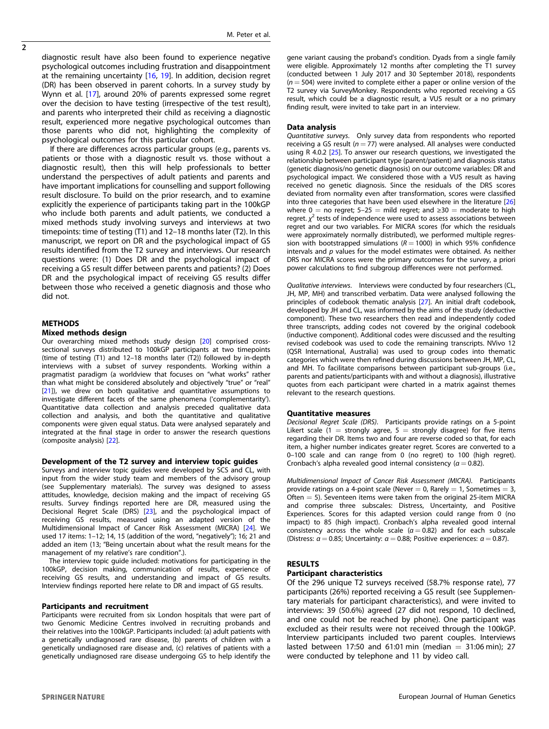diagnostic result have also been found to experience negative psychological outcomes including frustration and disappointment at the remaining uncertainty [\[16](#page-5-0), [19](#page-5-0)]. In addition, decision regret (DR) has been observed in parent cohorts. In a survey study by Wynn et al. [[17\]](#page-5-0), around 20% of parents expressed some regret over the decision to have testing (irrespective of the test result), and parents who interpreted their child as receiving a diagnostic result, experienced more negative psychological outcomes than those parents who did not, highlighting the complexity of psychological outcomes for this particular cohort.

If there are differences across particular groups (e.g., parents vs. patients or those with a diagnostic result vs. those without a diagnostic result), then this will help professionals to better understand the perspectives of adult patients and parents and have important implications for counselling and support following result disclosure. To build on the prior research, and to examine explicitly the experience of participants taking part in the 100kGP who include both parents and adult patients, we conducted a mixed methods study involving surveys and interviews at two timepoints: time of testing (T1) and 12–18 months later (T2). In this manuscript, we report on DR and the psychological impact of GS results identified from the T2 survey and interviews. Our research questions were: (1) Does DR and the psychological impact of receiving a GS result differ between parents and patients? (2) Does DR and the psychological impact of receiving GS results differ between those who received a genetic diagnosis and those who did not.

#### METHODS

## Mixed methods design

Our overarching mixed methods study design [\[20](#page-5-0)] comprised crosssectional surveys distributed to 100kGP participants at two timepoints (time of testing (T1) and 12–18 months later (T2)) followed by in-depth interviews with a subset of survey respondents. Working within a pragmatist paradigm (a worldview that focuses on "what works" rather than what might be considered absolutely and objectively "true" or "real" [[21\]](#page-5-0)), we drew on both qualitative and quantitative assumptions to investigate different facets of the same phenomena ('complementarity'). Quantitative data collection and analysis preceded qualitative data collection and analysis, and both the quantitative and qualitative components were given equal status. Data were analysed separately and integrated at the final stage in order to answer the research questions (composite analysis) [[22\]](#page-5-0).

#### Development of the T2 survey and interview topic guides

Surveys and interview topic guides were developed by SCS and CL, with input from the wider study team and members of the advisory group (see Supplementary materials). The survey was designed to assess attitudes, knowledge, decision making and the impact of receiving GS results. Survey findings reported here are DR, measured using the Decisional Regret Scale (DRS) [\[23](#page-5-0)], and the psychological impact of receiving GS results, measured using an adapted version of the Multidimensional Impact of Cancer Risk Assessment (MICRA) [\[24\]](#page-5-0). We used 17 items: 1–12; 14, 15 (addition of the word, "negatively"); 16; 21 and added an item (13; "Being uncertain about what the result means for the management of my relative's rare condition".).

The interview topic guide included: motivations for participating in the 100kGP, decision making, communication of results, experience of receiving GS results, and understanding and impact of GS results. Interview findings reported here relate to DR and impact of GS results.

#### Participants and recruitment

Participants were recruited from six London hospitals that were part of two Genomic Medicine Centres involved in recruiting probands and their relatives into the 100kGP. Participants included: (a) adult patients with a genetically undiagnosed rare disease, (b) parents of children with a genetically undiagnosed rare disease and, (c) relatives of patients with a genetically undiagnosed rare disease undergoing GS to help identify the gene variant causing the proband's condition. Dyads from a single family were eligible. Approximately 12 months after completing the T1 survey (conducted between 1 July 2017 and 30 September 2018), respondents  $(n = 504)$  were invited to complete either a paper or online version of the T2 survey via SurveyMonkey. Respondents who reported receiving a GS result, which could be a diagnostic result, a VUS result or a no primary finding result, were invited to take part in an interview.

#### Data analysis

Quantitative surveys. Only survey data from respondents who reported receiving a GS result ( $n = 77$ ) were analysed. All analyses were conducted using R 4.0.2  $[25]$  $[25]$ . To answer our research questions, we investigated the relationship between participant type (parent/patient) and diagnosis status (genetic diagnosis/no genetic diagnosis) on our outcome variables: DR and psychological impact. We considered those with a VUS result as having received no genetic diagnosis. Since the residuals of the DRS scores deviated from normality even after transformation, scores were classified into three categories that have been used elsewhere in the literature [\[26](#page-5-0)] where  $0 =$  no regret; 5–25 = mild regret; and  $\geq 30 =$  moderate to high regret.  $\chi^2$  tests of independence were used to assess associations between regret and our two variables. For MICRA scores (for which the residuals were approximately normally distributed), we performed multiple regression with bootstrapped simulations ( $R = 1000$ ) in which 95% confidence intervals and  $p$  values for the model estimates were obtained. As neither DRS nor MICRA scores were the primary outcomes for the survey, a priori power calculations to find subgroup differences were not performed.

Qualitative interviews. Interviews were conducted by four researchers (CL, JH, MP, MH) and transcribed verbatim. Data were analysed following the principles of codebook thematic analysis [[27\]](#page-5-0). An initial draft codebook, developed by JH and CL, was informed by the aims of the study (deductive component). These two researchers then read and independently coded three transcripts, adding codes not covered by the original codebook (inductive component). Additional codes were discussed and the resulting revised codebook was used to code the remaining transcripts. NVivo 12 (QSR International, Australia) was used to group codes into thematic categories which were then refined during discussions between JH, MP, CL, and MH. To facilitate comparisons between participant sub-groups (i.e., parents and patients/participants with and without a diagnosis), illustrative quotes from each participant were charted in a matrix against themes relevant to the research questions.

#### Quantitative measures

Decisional Regret Scale (DRS). Participants provide ratings on a 5-point Likert scale  $(1 =$  strongly agree,  $5 =$  strongly disagree) for five items regarding their DR. Items two and four are reverse coded so that, for each item, a higher number indicates greater regret. Scores are converted to a 0–100 scale and can range from 0 (no regret) to 100 (high regret). Cronbach's alpha revealed good internal consistency ( $\alpha = 0.82$ ).

Multidimensional Impact of Cancer Risk Assessment (MICRA). Participants provide ratings on a 4-point scale (Never  $= 0$ , Rarely  $= 1$ , Sometimes  $= 3$ , Often  $=$  5). Seventeen items were taken from the original 25-item MICRA and comprise three subscales: Distress, Uncertainty, and Positive Experiences. Scores for this adapted version could range from 0 (no impact) to 85 (high impact). Cronbach's alpha revealed good internal consistency across the whole scale  $(a = 0.82)$  and for each subscale (Distress:  $\alpha = 0.85$ ; Uncertainty:  $\alpha = 0.88$ ; Positive experiences:  $\alpha = 0.87$ ).

# RESULTS

#### Participant characteristics

Of the 296 unique T2 surveys received (58.7% response rate), 77 participants (26%) reported receiving a GS result (see Supplementary materials for participant characteristics), and were invited to interviews: 39 (50.6%) agreed (27 did not respond, 10 declined, and one could not be reached by phone). One participant was excluded as their results were not received through the 100kGP. Interview participants included two parent couples. Interviews lasted between 17:50 and 61:01 min (median  $=$  31:06 min); 27 were conducted by telephone and 11 by video call.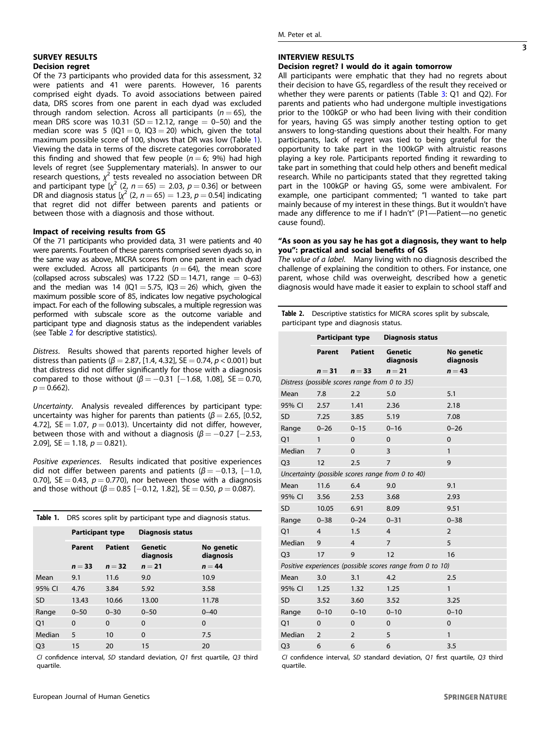#### M. Peter et al.

# SURVEY RESULTS Decision regret

Of the 73 participants who provided data for this assessment, 32 were patients and 41 were parents. However, 16 parents comprised eight dyads. To avoid associations between paired data, DRS scores from one parent in each dyad was excluded through random selection. Across all participants ( $n = 65$ ), the mean DRS score was 10.31 (SD = 12.12, range =  $0-50$ ) and the median score was 5 (IQ1 = 0, IQ3 = 20) which, given the total maximum possible score of 100, shows that DR was low (Table 1). Viewing the data in terms of the discrete categories corroborated this finding and showed that few people  $(n = 6, 9%)$  had high levels of regret (see Supplementary materials). In answer to our research questions,  $\chi^2$  tests revealed no association between DR and participant type  $[\chi^2 (2, n = 65) = 2.03, p = 0.36]$  or between DR and diagnosis status  $[\chi^2 (2, n = 65) = 1.23, p = 0.54]$  indicating that regret did not differ between parents and patients or between those with a diagnosis and those without.

# Impact of receiving results from GS

Of the 71 participants who provided data, 31 were patients and 40 were parents. Fourteen of these parents comprised seven dyads so, in the same way as above, MICRA scores from one parent in each dyad were excluded. Across all participants ( $n = 64$ ), the mean score (collapsed across subscales) was  $17.22$  (SD = 14.71, range = 0–63) and the median was 14 ( $IQ1 = 5.75$ ,  $IQ3 = 26$ ) which, given the maximum possible score of 85, indicates low negative psychological impact. For each of the following subscales, a multiple regression was performed with subscale score as the outcome variable and participant type and diagnosis status as the independent variables (see Table 2 for descriptive statistics).

Distress. Results showed that parents reported higher levels of distress than patients ( $β = 2.87$ , [1.4, 4.32], SE = 0.74,  $p < 0.001$ ) but that distress did not differ significantly for those with a diagnosis compared to those without  $(β = -0.31 [-1.68, 1.08], SE = 0.70,$  $p = 0.662$ ).

Uncertainty. Analysis revealed differences by participant type: uncertainty was higher for parents than patients ( $\beta$  = 2.65, [0.52, 4.72], SE = 1.07,  $p = 0.013$ ). Uncertainty did not differ, however, between those with and without a diagnosis ( $\beta = -0.27$  [-2.53, 2.09],  $SE = 1.18$ ,  $p = 0.821$ ).

Positive experiences. Results indicated that positive experiences did not differ between parents and patients ( $\beta = -0.13$ , [-1.0, 0.70], SE = 0.43,  $p = 0.770$ , nor between those with a diagnosis and those without ( $\beta$  = 0.85 [-0.12, 1.82], SE = 0.50,  $p$  = 0.087).

|                | <b>Table 1.</b> DRS scores split by participant type and diagnosis status. |          |                         |                         |  |  |  |
|----------------|----------------------------------------------------------------------------|----------|-------------------------|-------------------------|--|--|--|
|                | <b>Participant type</b>                                                    |          | <b>Diagnosis status</b> |                         |  |  |  |
|                | Parent                                                                     | Patient  | Genetic<br>diagnosis    | No genetic<br>diagnosis |  |  |  |
|                | $n = 33$                                                                   | $n = 32$ | $n=21$                  | $n = 44$                |  |  |  |
| Mean           | 9.1                                                                        | 11.6     | 9.0                     | 10.9                    |  |  |  |
| 95% CI         | 4.76                                                                       | 3.84     | 5.92                    | 3.58                    |  |  |  |
| SD.            | 13.43                                                                      | 10.66    | 13.00                   | 11.78                   |  |  |  |
| Range          | $0 - 50$                                                                   | $0 - 30$ | $0 - 50$                | $0 - 40$                |  |  |  |
| O <sub>1</sub> | $\Omega$                                                                   | $\Omega$ | $\Omega$                | $\Omega$                |  |  |  |
| Median         | 5                                                                          | 10       | $\Omega$                | 7.5                     |  |  |  |
| O <sub>3</sub> | 15                                                                         | 20       | 15                      | 20                      |  |  |  |

CI confidence interval, SD standard deviation, Q1 first quartile, Q3 third quartile.

# INTERVIEW RESULTS

# Decision regret? I would do it again tomorrow

All participants were emphatic that they had no regrets about their decision to have GS, regardless of the result they received or whether they were parents or patients (Table [3](#page-3-0): Q1 and Q2). For parents and patients who had undergone multiple investigations prior to the 100kGP or who had been living with their condition for years, having GS was simply another testing option to get answers to long-standing questions about their health. For many participants, lack of regret was tied to being grateful for the opportunity to take part in the 100kGP with altruistic reasons playing a key role. Participants reported finding it rewarding to take part in something that could help others and benefit medical research. While no participants stated that they regretted taking part in the 100kGP or having GS, some were ambivalent. For example, one participant commented; "I wanted to take part mainly because of my interest in these things. But it wouldn't have made any difference to me if I hadn't" (P1—Patient—no genetic cause found).

# "As soon as you say he has got a diagnosis, they want to help you": practical and social benefits of GS

The value of a label. Many living with no diagnosis described the challenge of explaining the condition to others. For instance, one parent, whose child was overweight, described how a genetic diagnosis would have made it easier to explain to school staff and

Table 2. Descriptive statistics for MICRA scores split by subscale, participant type and diagnosis status.

|                                                           | Participant type |                | <b>Diagnosis status</b>     |                         |  |  |  |  |
|-----------------------------------------------------------|------------------|----------------|-----------------------------|-------------------------|--|--|--|--|
|                                                           |                  |                |                             |                         |  |  |  |  |
|                                                           | <b>Parent</b>    | <b>Patient</b> | <b>Genetic</b><br>diagnosis | No genetic<br>diagnosis |  |  |  |  |
|                                                           | $n = 31$         | $n = 33$       | $n = 21$                    | $n = 43$                |  |  |  |  |
| Distress (possible scores range from 0 to 35)             |                  |                |                             |                         |  |  |  |  |
| Mean                                                      | 7.8              | 2.2            | 5.0                         | 5.1                     |  |  |  |  |
| 95% CI                                                    | 2.57             | 1.41           | 2.36                        | 2.18                    |  |  |  |  |
| <b>SD</b>                                                 | 7.25             | 3.85           | 5.19                        | 7.08                    |  |  |  |  |
| Range                                                     | $0 - 26$         | $0 - 15$       | $0 - 16$                    | $0 - 26$                |  |  |  |  |
| Q1                                                        | $\mathbf{1}$     | $\Omega$       | $\Omega$                    | $\Omega$                |  |  |  |  |
| Median                                                    | $\overline{7}$   | $\mathbf 0$    | 3                           | $\mathbf{1}$            |  |  |  |  |
| O <sub>3</sub>                                            | 12               | 2.5            | $\overline{7}$              | 9                       |  |  |  |  |
| Uncertainty (possible scores range from 0 to 40)          |                  |                |                             |                         |  |  |  |  |
| Mean                                                      | 11.6             | 6.4            | 9.0                         | 9.1                     |  |  |  |  |
| 95% CI                                                    | 3.56             | 2.53           | 3.68                        | 2.93                    |  |  |  |  |
| <b>SD</b>                                                 | 10.05            | 6.91           | 8.09                        | 9.51                    |  |  |  |  |
| Range                                                     | $0 - 38$         | $0 - 24$       | $0 - 31$                    | $0 - 38$                |  |  |  |  |
| O <sub>1</sub>                                            | $\overline{4}$   | 1.5            | $\overline{4}$              | $\overline{2}$          |  |  |  |  |
| Median                                                    | 9                | $\overline{4}$ | $\overline{7}$              | 5                       |  |  |  |  |
| Q <sub>3</sub>                                            | 17               | 9              | 12                          | 16                      |  |  |  |  |
| Positive experiences (possible scores range from 0 to 10) |                  |                |                             |                         |  |  |  |  |
| Mean                                                      | 3.0              | 3.1            | 4.2                         | 2.5                     |  |  |  |  |
| 95% CI                                                    | 1.25             | 1.32           | 1.25                        | $\mathbf{1}$            |  |  |  |  |
| <b>SD</b>                                                 | 3.52             | 3.60           | 3.52                        | 3.25                    |  |  |  |  |
| Range                                                     | $0 - 10$         | $0 - 10$       | $0 - 10$                    | $0 - 10$                |  |  |  |  |
| Q1                                                        | $\mathbf 0$      | $\mathbf 0$    | 0                           | 0                       |  |  |  |  |
| Median                                                    | $\overline{2}$   | $\overline{2}$ | 5                           | $\mathbf{1}$            |  |  |  |  |
| Q <sub>3</sub>                                            | 6                | 6              | 6                           | 3.5                     |  |  |  |  |

CI confidence interval, SD standard deviation, Q1 first quartile, Q3 third quartile.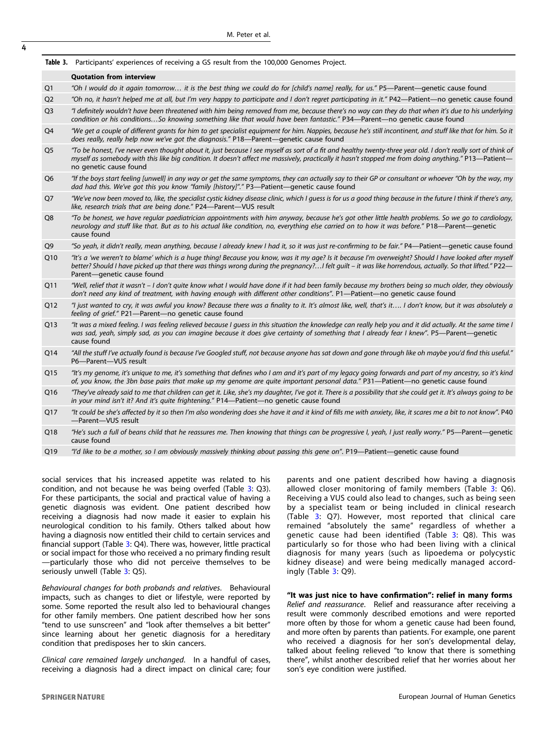<span id="page-3-0"></span>4

#### Table 3. Participants' experiences of receiving a GS result from the 100,000 Genomes Project.

#### Quotation from interview

Q1 "Oh I would do it again tomorrow... it is the best thing we could do for [child's name] really, for us." P5—Parent—genetic cause found

- Q2 "Oh no, it hasn't helped me at all, but I'm very happy to participate and I don't regret participating in it." P42—Patient—no genetic cause found
- Q3 "I definitely wouldn't have been threatened with him being removed from me, because there's no way can they do that when it's due to his underlying condition or his conditions…So knowing something like that would have been fantastic." P34—Parent—no genetic cause found
- Q4 "We get a couple of different grants for him to get specialist equipment for him. Nappies, because he's still incontinent, and stuff like that for him. So it does really, really help now we've got the diagnosis." P18—Parent—genetic cause found
- Q5 "To be honest, I've never even thought about it, just because I see myself as sort of a fit and healthy twenty-three year old. I don't really sort of think of myself as somebody with this like big condition. It doesn't affect me massively, practically it hasn't stopped me from doing anything." P13—Patient no genetic cause found
- Q6 "If the boys start feeling [unwell] in any way or get the same symptoms, they can actually say to their GP or consultant or whoever "Oh by the way, my dad had this. We've got this you know "family [history]"." P3—Patient—genetic cause found
- Q7 "We've now been moved to, like, the specialist cystic kidney disease clinic, which I guess is for us a good thing because in the future I think if there's any, like, research trials that are being done." P24—Parent—VUS result
- Q8 "To be honest, we have regular paediatrician appointments with him anyway, because he's got other little health problems. So we go to cardiology, neurology and stuff like that. But as to his actual like condition, no, everything else carried on to how it was before." P18—Parent—genetic cause found
- Q9 "So yeah, it didn't really, mean anything, because I already knew I had it, so it was just re-confirming to be fair." P4—Patient—genetic cause found
- Q10 "It's a 'we weren't to blame' which is a huge thing! Because you know, was it my age? Is it because I'm overweight? Should I have looked after myself better? Should I have picked up that there was things wrong during the pregnancy?...I felt guilt – it was like horrendous, actually. So that lifted." P22-Parent—genetic cause found
- Q11 "Well, relief that it wasn't I don't quite know what I would have done if it had been family because my brothers being so much older, they obviously don't need any kind of treatment, with having enough with different other conditions". P1—Patient—no genetic cause found
- Q12 "I just wanted to cry, it was awful you know? Because there was a finality to it. It's almost like, well, that's it.... I don't know, but it was absolutely a feeling of grief." P21—Parent—no genetic cause found
- Q13 "It was a mixed feeling. I was feeling relieved because I guess in this situation the knowledge can really help you and it did actually. At the same time I was sad, yeah, simply sad, as you can imagine because it does give certainty of something that I already fear I knew". P5—Parent—genetic cause found
- Q14 "All the stuff I've actually found is because I've Googled stuff, not because anyone has sat down and gone through like oh maybe you'd find this useful." P6—Parent—VUS result
- Q15 "It's my genome, it's unique to me, it's something that defines who I am and it's part of my legacy going forwards and part of my ancestry, so it's kind of, you know, the 3bn base pairs that make up my genome are quite important personal data." P31—Patient—no genetic cause found
- Q16 "They've already said to me that children can get it. Like, she's my daughter, I've got it. There is a possibility that she could get it. It's always going to be in your mind isn't it? And it's quite frightening." P14—Patient—no genetic cause found
- Q17 "It could be she's affected by it so then I'm also wondering does she have it and it kind of fills me with anxiety, like, it scares me a bit to not know". P40 —Parent—VUS result
- Q18 "He's such a full of beans child that he reassures me. Then knowing that things can be progressive I, yeah, I just really worry." P5—Parent—genetic cause found
- Q19 "I'd like to be a mother, so I am obviously massively thinking about passing this gene on". P19-Patient-genetic cause found

social services that his increased appetite was related to his condition, and not because he was being overfed (Table 3: Q3). For these participants, the social and practical value of having a genetic diagnosis was evident. One patient described how receiving a diagnosis had now made it easier to explain his neurological condition to his family. Others talked about how having a diagnosis now entitled their child to certain services and financial support (Table 3: Q4). There was, however, little practical or social impact for those who received a no primary finding result —particularly those who did not perceive themselves to be seriously unwell (Table 3: Q5).

Behavioural changes for both probands and relatives. Behavioural impacts, such as changes to diet or lifestyle, were reported by some. Some reported the result also led to behavioural changes for other family members. One patient described how her sons "tend to use sunscreen" and "look after themselves a bit better" since learning about her genetic diagnosis for a hereditary condition that predisposes her to skin cancers.

Clinical care remained largely unchanged. In a handful of cases, receiving a diagnosis had a direct impact on clinical care; four parents and one patient described how having a diagnosis allowed closer monitoring of family members (Table 3: Q6). Receiving a VUS could also lead to changes, such as being seen by a specialist team or being included in clinical research (Table 3: Q7). However, most reported that clinical care remained "absolutely the same" regardless of whether a genetic cause had been identified (Table 3: Q8). This was particularly so for those who had been living with a clinical diagnosis for many years (such as lipoedema or polycystic kidney disease) and were being medically managed accordingly (Table 3: Q9).

# "It was just nice to have confirmation": relief in many forms Relief and reassurance. Relief and reassurance after receiving a result were commonly described emotions and were reported more often by those for whom a genetic cause had been found, and more often by parents than patients. For example, one parent who received a diagnosis for her son's developmental delay,

talked about feeling relieved "to know that there is something there", whilst another described relief that her worries about her

son's eye condition were justified.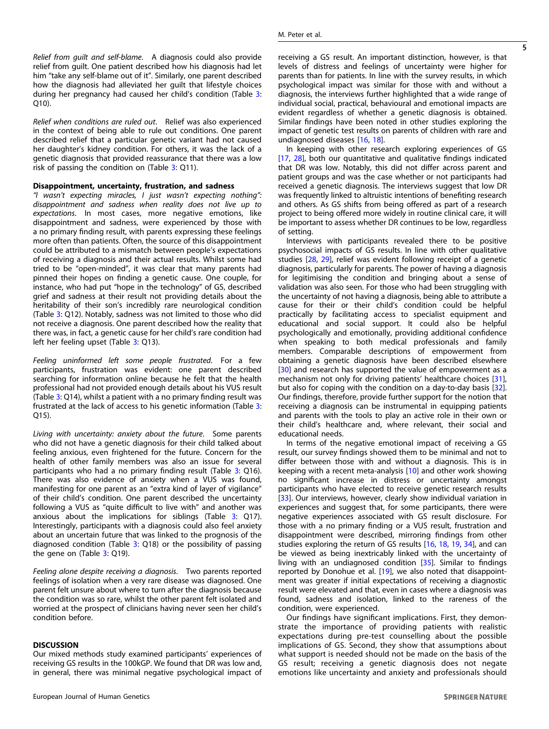Relief from guilt and self-blame. A diagnosis could also provide relief from guilt. One patient described how his diagnosis had let him "take any self-blame out of it". Similarly, one parent described how the diagnosis had alleviated her guilt that lifestyle choices during her pregnancy had caused her child's condition (Table [3](#page-3-0): Q10).

Relief when conditions are ruled out. Relief was also experienced in the context of being able to rule out conditions. One parent described relief that a particular genetic variant had not caused her daughter's kidney condition. For others, it was the lack of a genetic diagnosis that provided reassurance that there was a low risk of passing the condition on  $(Table 3: Q11)$  $(Table 3: Q11)$  $(Table 3: Q11)$ .

## Disappointment, uncertainty, frustration, and sadness

"I wasn't expecting miracles, I just wasn't expecting nothing": disappointment and sadness when reality does not live up to expectations. In most cases, more negative emotions, like disappointment and sadness, were experienced by those with a no primary finding result, with parents expressing these feelings more often than patients. Often, the source of this disappointment could be attributed to a mismatch between people's expectations of receiving a diagnosis and their actual results. Whilst some had tried to be "open-minded", it was clear that many parents had pinned their hopes on finding a genetic cause. One couple, for instance, who had put "hope in the technology" of GS, described grief and sadness at their result not providing details about the heritability of their son's incredibly rare neurological condition (Table [3:](#page-3-0) Q12). Notably, sadness was not limited to those who did not receive a diagnosis. One parent described how the reality that there was, in fact, a genetic cause for her child's rare condition had left her feeling upset (Table [3:](#page-3-0) Q13).

Feeling uninformed left some people frustrated. For a few participants, frustration was evident: one parent described searching for information online because he felt that the health professional had not provided enough details about his VUS result (Table [3](#page-3-0): Q14), whilst a patient with a no primary finding result was frustrated at the lack of access to his genetic information (Table [3](#page-3-0): Q15).

Living with uncertainty: anxiety about the future. Some parents who did not have a genetic diagnosis for their child talked about feeling anxious, even frightened for the future. Concern for the health of other family members was also an issue for several participants who had a no primary finding result (Table [3](#page-3-0): Q16). There was also evidence of anxiety when a VUS was found, manifesting for one parent as an "extra kind of layer of vigilance" of their child's condition. One parent described the uncertainty following a VUS as "quite difficult to live with" and another was anxious about the implications for siblings (Table [3:](#page-3-0) Q17). Interestingly, participants with a diagnosis could also feel anxiety about an uncertain future that was linked to the prognosis of the diagnosed condition (Table [3](#page-3-0): Q18) or the possibility of passing the gene on (Table [3](#page-3-0): Q19).

Feeling alone despite receiving a diagnosis. Two parents reported feelings of isolation when a very rare disease was diagnosed. One parent felt unsure about where to turn after the diagnosis because the condition was so rare, whilst the other parent felt isolated and worried at the prospect of clinicians having never seen her child's condition before.

#### **DISCUSSION**

Our mixed methods study examined participants' experiences of receiving GS results in the 100kGP. We found that DR was low and, in general, there was minimal negative psychological impact of receiving a GS result. An important distinction, however, is that levels of distress and feelings of uncertainty were higher for parents than for patients. In line with the survey results, in which psychological impact was similar for those with and without a diagnosis, the interviews further highlighted that a wide range of individual social, practical, behavioural and emotional impacts are evident regardless of whether a genetic diagnosis is obtained. Similar findings have been noted in other studies exploring the impact of genetic test results on parents of children with rare and undiagnosed diseases [\[16,](#page-5-0) [18](#page-5-0)].

In keeping with other research exploring experiences of GS [\[17,](#page-5-0) [28\]](#page-6-0), both our quantitative and qualitative findings indicated that DR was low. Notably, this did not differ across parent and patient groups and was the case whether or not participants had received a genetic diagnosis. The interviews suggest that low DR was frequently linked to altruistic intentions of benefiting research and others. As GS shifts from being offered as part of a research project to being offered more widely in routine clinical care, it will be important to assess whether DR continues to be low, regardless of setting.

Interviews with participants revealed there to be positive psychosocial impacts of GS results. In line with other qualitative studies [\[28](#page-6-0), [29\]](#page-6-0), relief was evident following receipt of a genetic diagnosis, particularly for parents. The power of having a diagnosis for legitimising the condition and bringing about a sense of validation was also seen. For those who had been struggling with the uncertainty of not having a diagnosis, being able to attribute a cause for their or their child's condition could be helpful practically by facilitating access to specialist equipment and educational and social support. It could also be helpful psychologically and emotionally, providing additional confidence when speaking to both medical professionals and family members. Comparable descriptions of empowerment from obtaining a genetic diagnosis have been described elsewhere [\[30\]](#page-6-0) and research has supported the value of empowerment as a mechanism not only for driving patients' healthcare choices [\[31\]](#page-6-0), but also for coping with the condition on a day-to-day basis [\[32\]](#page-6-0). Our findings, therefore, provide further support for the notion that receiving a diagnosis can be instrumental in equipping patients and parents with the tools to play an active role in their own or their child's healthcare and, where relevant, their social and educational needs.

In terms of the negative emotional impact of receiving a GS result, our survey findings showed them to be minimal and not to differ between those with and without a diagnosis. This is in keeping with a recent meta-analysis [\[10](#page-5-0)] and other work showing no significant increase in distress or uncertainty amongst participants who have elected to receive genetic research results [\[33\]](#page-6-0). Our interviews, however, clearly show individual variation in experiences and suggest that, for some participants, there were negative experiences associated with GS result disclosure. For those with a no primary finding or a VUS result, frustration and disappointment were described, mirroring findings from other studies exploring the return of GS results [[16,](#page-5-0) [18](#page-5-0), [19](#page-5-0), [34\]](#page-6-0), and can be viewed as being inextricably linked with the uncertainty of living with an undiagnosed condition [\[35](#page-6-0)]. Similar to findings reported by Donohue et al. [[19\]](#page-5-0), we also noted that disappointment was greater if initial expectations of receiving a diagnostic result were elevated and that, even in cases where a diagnosis was found, sadness and isolation, linked to the rareness of the condition, were experienced.

Our findings have significant implications. First, they demonstrate the importance of providing patients with realistic expectations during pre-test counselling about the possible implications of GS. Second, they show that assumptions about what support is needed should not be made on the basis of the GS result; receiving a genetic diagnosis does not negate emotions like uncertainty and anxiety and professionals should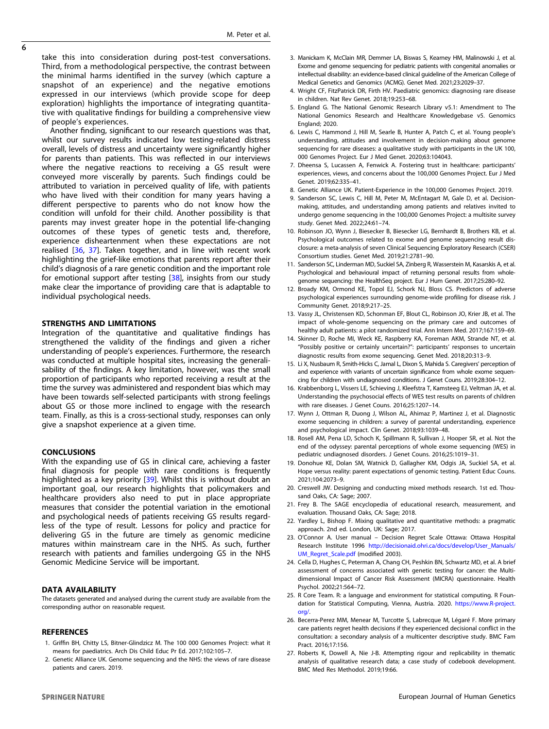<span id="page-5-0"></span>take this into consideration during post-test conversations. Third, from a methodological perspective, the contrast between the minimal harms identified in the survey (which capture a snapshot of an experience) and the negative emotions expressed in our interviews (which provide scope for deep exploration) highlights the importance of integrating quantitative with qualitative findings for building a comprehensive view of people's experiences.

Another finding, significant to our research questions was that, whilst our survey results indicated low testing-related distress overall, levels of distress and uncertainty were significantly higher for parents than patients. This was reflected in our interviews where the negative reactions to receiving a GS result were conveyed more viscerally by parents. Such findings could be attributed to variation in perceived quality of life, with patients who have lived with their condition for many years having a different perspective to parents who do not know how the condition will unfold for their child. Another possibility is that parents may invest greater hope in the potential life-changing outcomes of these types of genetic tests and, therefore, experience disheartenment when these expectations are not realised [[36](#page-6-0), [37](#page-6-0)]. Taken together, and in line with recent work highlighting the grief-like emotions that parents report after their child's diagnosis of a rare genetic condition and the important role for emotional support after testing [[38](#page-6-0)], insights from our study make clear the importance of providing care that is adaptable to individual psychological needs.

# STRENGTHS AND LIMITATIONS

Integration of the quantitative and qualitative findings has strengthened the validity of the findings and given a richer understanding of people's experiences. Furthermore, the research was conducted at multiple hospital sites, increasing the generalisability of the findings. A key limitation, however, was the small proportion of participants who reported receiving a result at the time the survey was administered and respondent bias which may have been towards self-selected participants with strong feelings about GS or those more inclined to engage with the research team. Finally, as this is a cross-sectional study, responses can only give a snapshot experience at a given time.

# **CONCLUSIONS**

With the expanding use of GS in clinical care, achieving a faster final diagnosis for people with rare conditions is frequently highlighted as a key priority [\[39\]](#page-6-0). Whilst this is without doubt an important goal, our research highlights that policymakers and healthcare providers also need to put in place appropriate measures that consider the potential variation in the emotional and psychological needs of patients receiving GS results regardless of the type of result. Lessons for policy and practice for delivering GS in the future are timely as genomic medicine matures within mainstream care in the NHS. As such, further research with patients and families undergoing GS in the NHS Genomic Medicine Service will be important.

# DATA AVAILABILITY

The datasets generated and analysed during the current study are available from the corresponding author on reasonable request.

# **REFERENCES**

- 1. Griffin BH, Chitty LS, Bitner-Glindzicz M. The 100 000 Genomes Project: what it means for paediatrics. Arch Dis Child Educ Pr Ed. 2017;102:105–7.
- 2. Genetic Alliance UK. Genome sequencing and the NHS: the views of rare disease patients and carers. 2019.
- 3. Manickam K, McClain MR, Demmer LA, Biswas S, Kearney HM, Malinowski J, et al. Exome and genome sequencing for pediatric patients with congenital anomalies or intellectual disability: an evidence-based clinical guideline of the American College of Medical Genetics and Genomics (ACMG). Genet Med. 2021;23:2029–37.
- 4. Wright CF, FitzPatrick DR, Firth HV. Paediatric genomics: diagnosing rare disease in children. Nat Rev Genet. 2018;19:253–68.
- 5. England G. The National Genomic Research Library v5.1: Amendment to The National Genomics Research and Healthcare Knowledgebase v5. Genomics England; 2020.
- 6. Lewis C, Hammond J, Hill M, Searle B, Hunter A, Patch C, et al. Young people's understanding, attitudes and involvement in decision-making about genome sequencing for rare diseases: a qualitative study with participants in the UK 100, 000 Genomes Project. Eur J Med Genet. 2020;63:104043.
- 7. Dheensa S, Lucassen A, Fenwick A. Fostering trust in healthcare: participants' experiences, views, and concerns about the 100,000 Genomes Project. Eur J Med Genet. 2019;62:335–41.
- 8. Genetic Alliance UK. Patient-Experience in the 100,000 Genomes Project. 2019.
- 9. Sanderson SC, Lewis C, Hill M, Peter M, McEntagart M, Gale D, et al. Decisionmaking, attitudes, and understanding among patients and relatives invited to undergo genome sequencing in the 100,000 Genomes Project: a multisite survey study. Genet Med. 2022;24:61–74.
- 10. Robinson JO, Wynn J, Biesecker B, Biesecker LG, Bernhardt B, Brothers KB, et al. Psychological outcomes related to exome and genome sequencing result disclosure: a meta-analysis of seven Clinical Sequencing Exploratory Research (CSER) Consortium studies. Genet Med. 2019;21:2781–90.
- 11. Sanderson SC, Linderman MD, Suckiel SA, Zinberg R, Wasserstein M, Kasarskis A, et al. Psychological and behavioural impact of returning personal results from wholegenome sequencing: the HealthSeq project. Eur J Hum Genet. 2017;25:280–92.
- 12. Broady KM, Ormond KE, Topol EJ, Schork NJ, Bloss CS. Predictors of adverse psychological experiences surrounding genome-wide profiling for disease risk. J Community Genet. 2018;9:217–25.
- 13. Vassy JL, Christensen KD, Schonman EF, Blout CL, Robinson JO, Krier JB, et al. The impact of whole-genome sequencing on the primary care and outcomes of healthy adult patients: a pilot randomized trial. Ann Intern Med. 2017;167:159–69.
- 14. Skinner D, Roche MI, Weck KE, Raspberry KA, Foreman AKM, Strande NT, et al. "Possibly positive or certainly uncertain?": participants' responses to uncertain diagnostic results from exome sequencing. Genet Med. 2018;20:313–9.
- 15. Li X, Nusbaum R, Smith-Hicks C, Jamal L, Dixon S, Mahida S. Caregivers' perception of and experience with variants of uncertain significance from whole exome sequencing for children with undiagnosed conditions. J Genet Couns. 2019;28:304–12.
- 16. Krabbenborg L, Vissers LE, Schieving J, Kleefstra T, Kamsteeg EJ, Veltman JA, et al. Understanding the psychosocial effects of WES test results on parents of children with rare diseases. J Genet Couns. 2016;25:1207–14.
- 17. Wynn J, Ottman R, Duong J, Wilson AL, Ahimaz P, Martinez J, et al. Diagnostic exome sequencing in children: a survey of parental understanding, experience and psychological impact. Clin Genet. 2018;93:1039–48.
- 18. Rosell AM, Pena LD, Schoch K, Spillmann R, Sullivan J, Hooper SR, et al. Not the end of the odyssey: parental perceptions of whole exome sequencing (WES) in pediatric undiagnosed disorders. J Genet Couns. 2016;25:1019–31.
- 19. Donohue KE, Dolan SM, Watnick D, Gallagher KM, Odgis JA, Suckiel SA, et al. Hope versus reality: parent expectations of genomic testing. Patient Educ Couns. 2021;104:2073–9.
- 20. Creswell JW. Designing and conducting mixed methods research. 1st ed. Thousand Oaks, CA: Sage: 2007.
- 21. Frey B. The SAGE encyclopedia of educational research, measurement, and evaluation. Thousand Oaks, CA: Sage; 2018.
- 22. Yardley L, Bishop F. Mixing qualitative and quantitative methods: a pragmatic approach. 2nd ed. London, UK: Sage; 2017.
- 23. O'Connor A. User manual Decision Regret Scale Ottawa: Ottawa Hospital Research Institute 1996 [http://decisionaid.ohri.ca/docs/develop/User\\_Manuals/](http://decisionaid.ohri.ca/docs/develop/User_Manuals/UM_Regret_Scale.pdf) [UM\\_Regret\\_Scale.pdf](http://decisionaid.ohri.ca/docs/develop/User_Manuals/UM_Regret_Scale.pdf) (modified 2003).
- 24. Cella D, Hughes C, Peterman A, Chang CH, Peshkin BN, Schwartz MD, et al. A brief assessment of concerns associated with genetic testing for cancer: the Multidimensional Impact of Cancer Risk Assessment (MICRA) questionnaire. Health Psychol. 2002;21:564–72.
- 25. R Core Team. R: a language and environment for statistical computing. R Foundation for Statistical Computing, Vienna, Austria. 2020. [https://www.R-project.](https://www.R-project.org/) [org/.](https://www.R-project.org/)
- 26. Becerra-Perez MM, Menear M, Turcotte S, Labrecque M, Légaré F. More primary care patients regret health decisions if they experienced decisional conflict in the consultation: a secondary analysis of a multicenter descriptive study. BMC Fam Pract. 2016;17:156.
- 27. Roberts K, Dowell A, Nie J-B. Attempting rigour and replicability in thematic analysis of qualitative research data; a case study of codebook development. BMC Med Res Methodol. 2019;19:66.